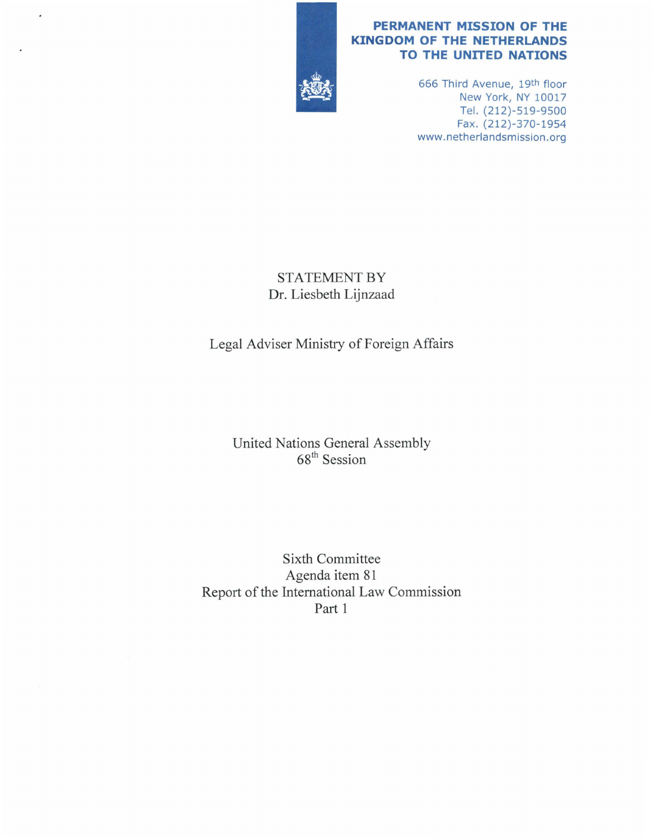

### **PERMANENT MISSION OF THE KINGDOM OF THE NETHERLANDS TO THE UNITED NATIONS**

666 Third Avenue, 19th floor New York, NY 10017 Tel. (212)-519-9500 Fax. (212)-370-1954 www.netherlandsmission.org

## STATEMENT BY Dr. Liesbeth Lijnzaad

# Legal Adviser Ministry of Foreign Affairs

## United Nations General Assembly 68<sup>th</sup> Session

Sixth Committee Agenda item 81 Report of the International Law Commission Part 1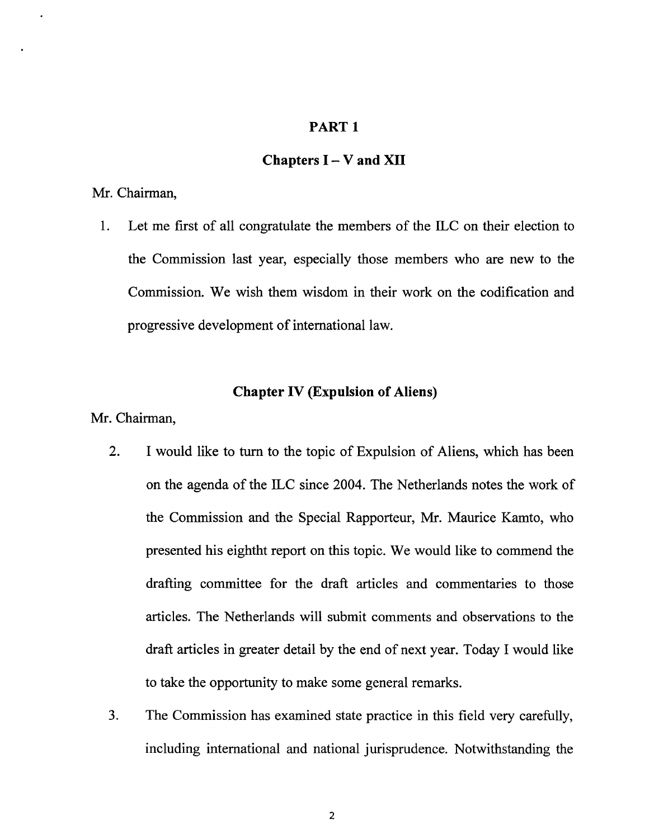## **PARTl**

### **Chapters** I - **V and XII**

#### Mr. Chairman,

1. Let me first of all congratulate the members of the ILC on their election to the Commission last year, especially those members who are new to the Commission. We wish them wisdom in their work on the codification and progressive development of international law.

## **Chapter IV (Expulsion of Aliens)**

Mr. Chairman,

- 2. I would like to tum to the topic of Expulsion of Aliens, which has been on the agenda of the ILC since 2004. The Netherlands notes the work of the Commission and the Special Rapporteur, Mr. Maurice Kamto, who presented his eightht report on this topic. We would like to commend the drafting committee for the draft articles and commentaries to those articles. The Netherlands will submit comments and observations to the draft articles in greater detail by the end of next year. Today I would like to take the opportunity to make some general remarks.
- 3. The Commission has examined state practice in this field very carefully, including international and national jurisprudence. Notwithstanding the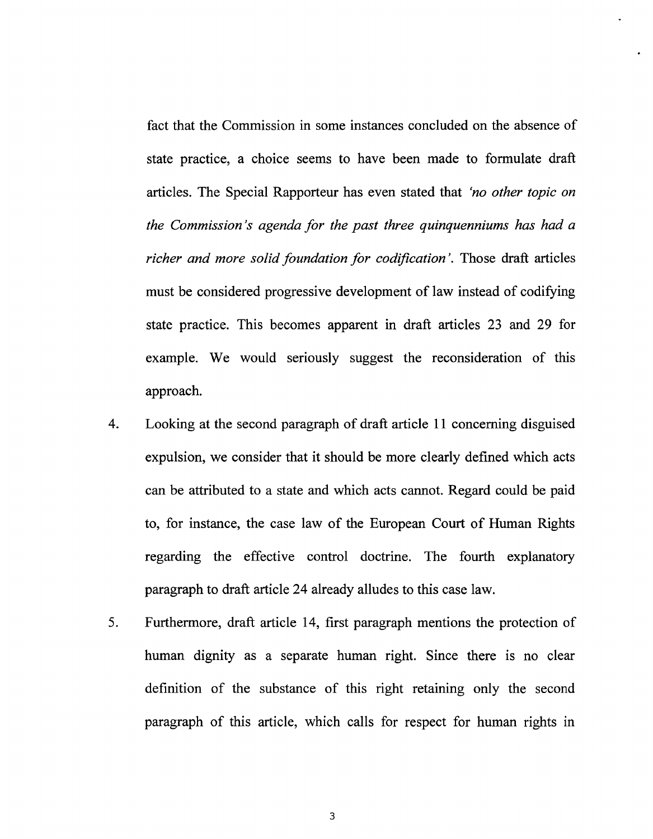fact that the Commission in some instances concluded on the absence of state practice, a choice seems to have been made to formulate draft articles. The Special Rapporteur has even stated that *'no other topic on the Commission's agenda for the past three quinquenniums has had a richer and more solid foundation for codification'.* Those draft articles must be considered progressive development of law instead of codifying state practice. This becomes apparent in draft articles 23 and 29 for example. We would seriously suggest the reconsideration of this approach.

- 4. Looking at the second paragraph of draft article 11 concerning disguised expulsion, we consider that it should be more clearly defined which acts can be attributed to a state and which acts cannot. Regard could be paid to, for instance, the case law of the European Court of Human Rights regarding the effective control doctrine. The fourth explanatory paragraph to draft article 24 already alludes to this case law.
- 5. Furthermore, draft article 14, first paragraph mentions the protection of human dignity as a separate human right. Since there is no clear definition of the substance of this right retaining only the second paragraph of this article, which calls for respect for human rights in

3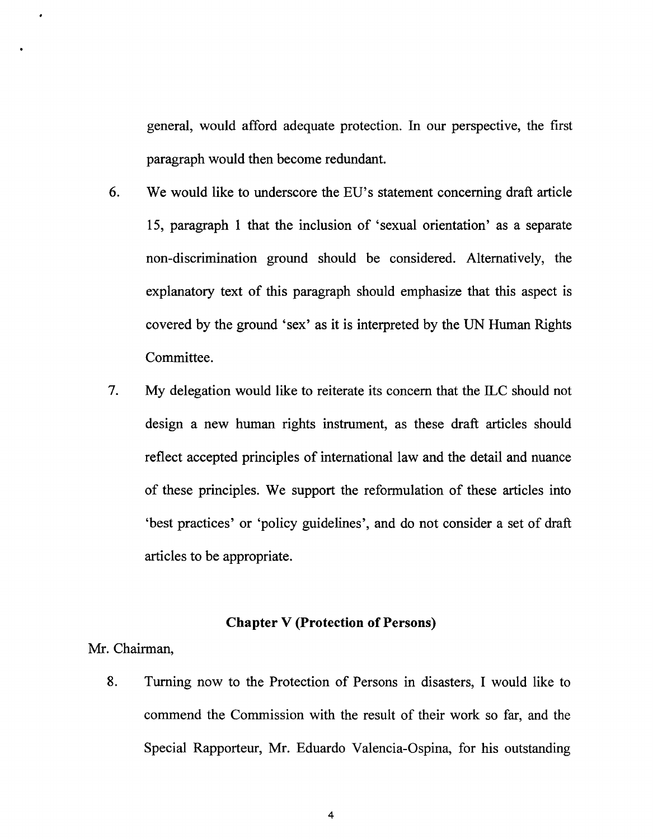general, would afford adequate protection. In our perspective, the first paragraph would then become redundant.

- 6. We would like to underscore the EU's statement concerning draft article 15, paragraph 1 that the inclusion of 'sexual orientation' as a separate non-discrimination ground should be considered. Alternatively, the explanatory text of this paragraph should emphasize that this aspect is covered by the ground 'sex' as it is interpreted by the UN Human Rights Committee.
- 7. My delegation would like to reiterate its concern that the ILC should not design a new human rights instrument, as these draft articles should reflect accepted principles of international law and the detail and nuance of these principles. We support the reformulation of these articles into 'best practices' or 'policy guidelines', and do not consider a set of draft articles to be appropriate.

### **Chapter V (Protection of Persons)**

Mr. Chairman,

8. Turning now to the Protection of Persons in disasters, I would like to commend the Commission with the result of their work so far, and the Special Rapporteur, Mr. Eduardo Valencia-Ospina, for his outstanding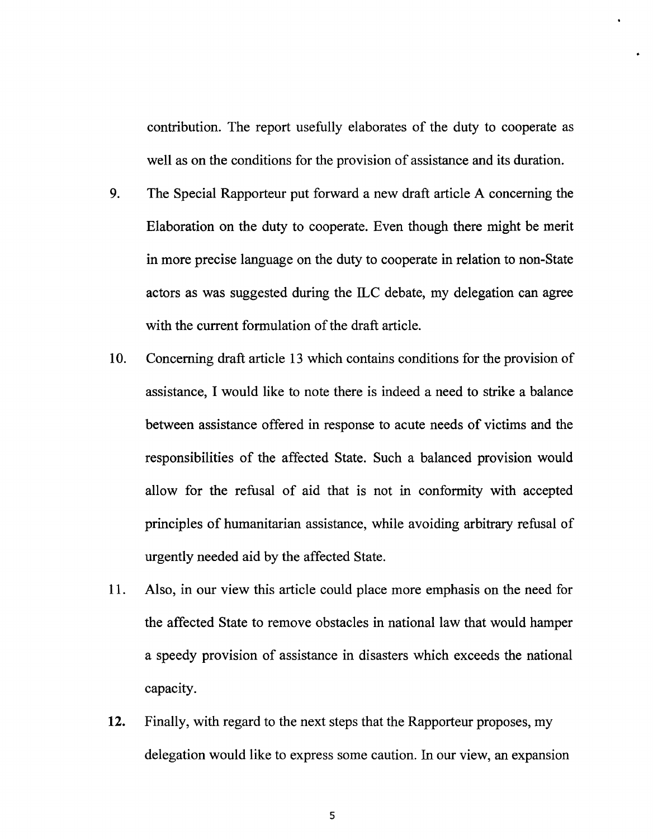contribution. The report usefully elaborates of the duty to cooperate as well as on the conditions for the provision of assistance and its duration.

- 9. The Special Rapporteur put forward a new draft article A concerning the Elaboration on the duty to cooperate. Even though there might be merit in more precise language on the duty to cooperate in relation to non-State actors as was suggested during the ILC debate, my delegation can agree with the current formulation of the draft article.
- 10. Concerning draft article 13 which contains conditions for the provision of assistance, I would like to note there is indeed a need to strike a balance between assistance offered in response to acute needs of victims and the responsibilities of the affected State. Such a balanced provision would allow for the refusal of aid that is not in conformity with accepted principles of humanitarian assistance, while avoiding arbitrary refusal of urgently needed aid by the affected State.
- 11. Also, in our view this article could place more emphasis on the need for the affected State to remove obstacles in national law that would hamper a speedy provision of assistance in disasters which exceeds the national capacity.
- **12.** Finally, with regard to the next steps that the Rapporteur proposes, my delegation would like to express some caution. In our view, an expansion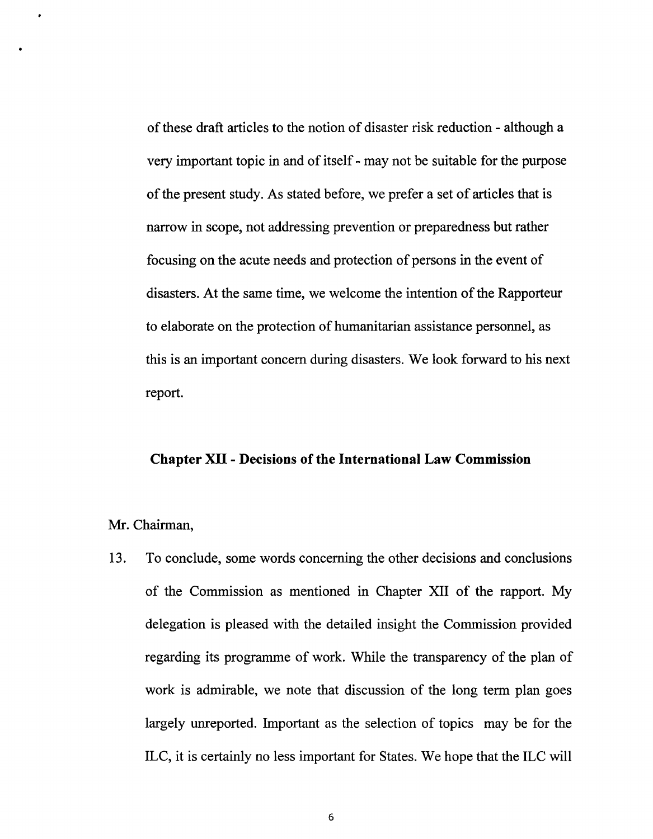of these draft articles to the notion of disaster risk reduction - although a very important topic in and of itself - may not be suitable for the purpose of the present study. As stated before, we prefer a set of articles that is narrow in scope, not addressing prevention or preparedness but rather focusing on the acute needs and protection of persons in the event of disasters. At the same time, we welcome the intention of the Rapporteur to elaborate on the protection of humanitarian assistance personnel, as this is an important concern during disasters. We look forward to his next report.

#### **Chapter XII - Decisions of the International Law Commission**

#### Mr. Chairman,

13. To conclude, some words concerning the other decisions and conclusions of the Commission as mentioned in Chapter XII of the rapport. My delegation is pleased with the detailed insight the Commission provided regarding its programme of work. While the transparency of the plan of work is admirable, we note that discussion of the long term plan goes largely unreported. Important as the selection of topics may be for the ILC, it is certainly no less important for States. We hope that the ILC will